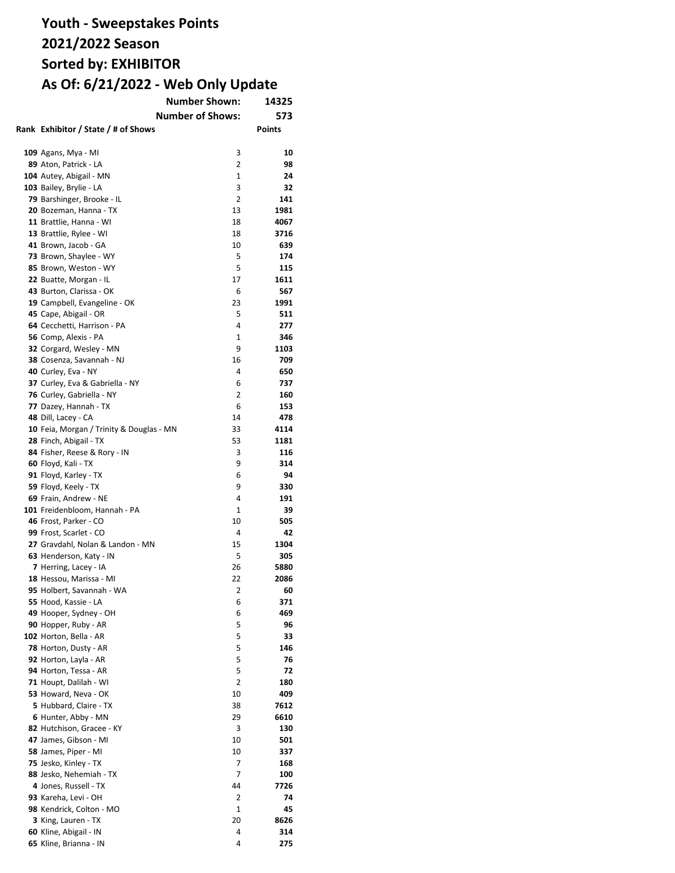| <b>Number Shown:</b>                              | 14325                   |               |
|---------------------------------------------------|-------------------------|---------------|
|                                                   | <b>Number of Shows:</b> | 573           |
| Rank Exhibitor / State / # of Shows               |                         | <b>Points</b> |
|                                                   |                         |               |
| <b>109</b> Agans, Mya - MI                        | 3                       | 10            |
| 89 Aton, Patrick - LA                             | $\overline{2}$          | 98            |
| 104 Autey, Abigail - MN                           | $\mathbf{1}$            | 24            |
| 103 Bailey, Brylie - LA                           | 3                       | 32            |
| 79 Barshinger, Brooke - IL                        | 2                       | 141           |
| 20 Bozeman, Hanna - TX                            | 13                      | 1981          |
| 11 Brattlie, Hanna - WI                           | 18                      | 4067          |
| 13 Brattlie, Rylee - WI                           | 18                      | 3716          |
| 41 Brown, Jacob - GA                              | 10                      | 639           |
| 73 Brown, Shaylee - WY                            | 5                       | 174           |
| 85 Brown, Weston - WY                             | 5                       | 115           |
| 22 Buatte, Morgan - IL                            | 17                      | 1611          |
| 43 Burton, Clarissa - OK                          | 6                       | 567           |
| 19 Campbell, Evangeline - OK                      | 23                      | 1991          |
| 45 Cape, Abigail - OR                             | 5                       | 511           |
| 64 Cecchetti, Harrison - PA                       | 4                       | 277           |
| 56 Comp, Alexis - PA                              | 1                       | 346           |
| 32 Corgard, Wesley - MN                           | 9                       | 1103          |
| 38 Cosenza, Savannah - NJ                         | 16                      | 709           |
| 40 Curley, Eva - NY                               | 4                       | 650           |
| 37 Curley, Eva & Gabriella - NY                   | 6                       | 737           |
| 76 Curley, Gabriella - NY                         | $\overline{2}$          | 160           |
| 77 Dazey, Hannah - TX                             | 6                       | 153           |
| 48 Dill, Lacey - CA                               | 14                      | 478           |
| 10 Feia, Morgan / Trinity & Douglas - MN          | 33                      | 4114          |
| 28 Finch, Abigail - TX                            | 53                      | 1181          |
| 84 Fisher, Reese & Rory - IN                      | 3                       | 116           |
| 60 Floyd, Kali - TX                               | 9                       | 314           |
| 91 Floyd, Karley - TX                             | 6                       | 94            |
| 59 Floyd, Keely - TX                              | 9                       | 330           |
| 69 Frain, Andrew - NE                             | 4                       | 191           |
| 101 Freidenbloom, Hannah - PA                     | 1                       | 39            |
| 46 Frost, Parker - CO                             | 10                      | 505           |
| 99 Frost, Scarlet - CO                            | 4                       | 42            |
| 27 Gravdahl, Nolan & Landon - MN                  | 15                      | 1304          |
| 63 Henderson, Katy - IN                           | 5                       | 305           |
| 7 Herring, Lacey - IA                             | 26                      | 5880          |
| 18 Hessou, Marissa - MI                           | 22<br>2                 | 2086<br>60    |
| 95 Holbert, Savannah - WA<br>55 Hood, Kassie - LA | 6                       | 371           |
| 49 Hooper, Sydney - OH                            | 6                       | 469           |
| 90 Hopper, Ruby - AR                              | 5                       | 96            |
| 102 Horton, Bella - AR                            | 5                       | 33            |
| 78 Horton, Dusty - AR                             | 5                       | 146           |
| 92 Horton, Layla - AR                             | 5                       | 76            |
| 94 Horton, Tessa - AR                             | 5                       | 72            |
| 71 Houpt, Dalilah - WI                            | 2                       | 180           |
| 53 Howard, Neva - OK                              | 10                      | 409           |
| 5 Hubbard, Claire - TX                            | 38                      | 7612          |
| 6 Hunter, Abby - MN                               | 29                      | 6610          |
| 82 Hutchison, Gracee - KY                         | 3                       | 130           |
| 47 James, Gibson - MI                             | 10                      | 501           |
| 58 James, Piper - MI                              | 10                      | 337           |
| 75 Jesko, Kinley - TX                             | 7                       | 168           |
| 88 Jesko, Nehemiah - TX                           | 7                       | 100           |
| 4 Jones, Russell - TX                             | 44                      | 7726          |
| 93 Kareha, Levi - OH                              | 2                       | 74            |
| 98 Kendrick, Colton - MO                          | 1                       | 45            |
| 3 King, Lauren - TX                               | 20                      | 8626          |
| 60 Kline, Abigail - IN                            | 4                       | 314           |
| 65 Kline, Brianna - IN                            | 4                       | 275           |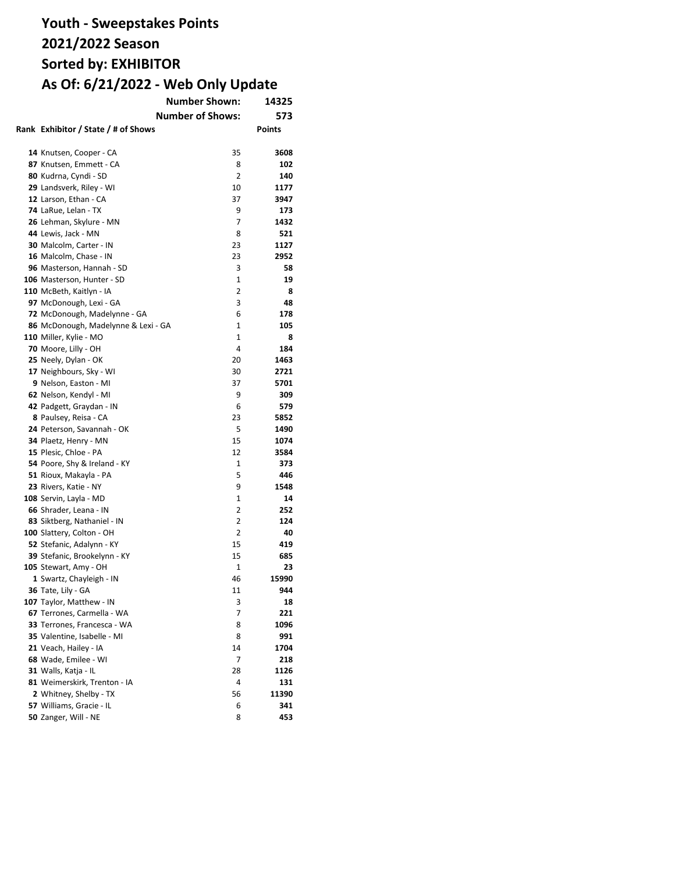|                                     | <b>Number Shown:</b>    | 14325         |
|-------------------------------------|-------------------------|---------------|
|                                     | <b>Number of Shows:</b> | 573           |
| Rank Exhibitor / State / # of Shows |                         | <b>Points</b> |
|                                     |                         |               |
| 14 Knutsen, Cooper - CA             | 35                      | 3608          |
| 87 Knutsen, Emmett - CA             | 8                       | 102           |
| 80 Kudrna, Cyndi - SD               | $\overline{2}$          | 140           |
| 29 Landsverk, Riley - WI            | 10                      | 1177          |
| 12 Larson, Ethan - CA               | 37                      | 3947          |
| 74 LaRue, Lelan - TX                | 9                       | 173           |
| 26 Lehman, Skylure - MN             | 7                       | 1432          |
| 44 Lewis, Jack - MN                 | 8                       | 521           |
| 30 Malcolm, Carter - IN             | 23                      | 1127          |
| 16 Malcolm, Chase - IN              | 23                      | 2952          |
| 96 Masterson, Hannah - SD           | 3                       | 58            |
| 106 Masterson, Hunter - SD          | $\mathbf{1}$            | 19            |
| 110 McBeth, Kaitlyn - IA            | 2                       | 8             |
| 97 McDonough, Lexi - GA             | 3                       | 48            |
| 72 McDonough, Madelynne - GA        | 6                       | 178           |
| 86 McDonough, Madelynne & Lexi - GA | $\mathbf{1}$            | 105           |
| 110 Miller, Kylie - MO              | $\mathbf{1}$            | 8             |
| 70 Moore, Lilly - OH                | 4                       | 184           |
| 25 Neely, Dylan - OK                | 20                      | 1463          |
| 17 Neighbours, Sky - WI             | 30                      | 2721          |
| 9 Nelson, Easton - MI               | 37                      | 5701          |
| 62 Nelson, Kendyl - MI              | 9                       | 309           |
| 42 Padgett, Graydan - IN            | 6                       | 579           |
| 8 Paulsey, Reisa - CA               | 23                      | 5852          |
| 24 Peterson, Savannah - OK          | 5                       | 1490          |
| 34 Plaetz, Henry - MN               | 15                      | 1074          |
| 15 Plesic, Chloe - PA               | 12                      | 3584          |
| 54 Poore, Shy & Ireland - KY        | 1                       | 373           |
| 51 Rioux, Makayla - PA              | 5                       | 446           |
| 23 Rivers, Katie - NY               | 9                       | 1548          |
| 108 Servin, Layla - MD              | 1                       | 14            |
| 66 Shrader, Leana - IN              | 2                       | 252           |
| 83 Siktberg, Nathaniel - IN         | 2                       | 124           |
| 100 Slattery, Colton - OH           | 2                       | 40            |
| 52 Stefanic, Adalynn - KY           | 15                      | 419           |
| 39 Stefanic, Brookelynn - KY        | 15                      | 685           |
| 105 Stewart, Amy - OH               | 1                       | 23            |
| 1 Swartz, Chayleigh - IN            | 46                      | 15990         |
| 36 Tate, Lily - GA                  | 11                      | 944           |
| 107 Taylor, Matthew - IN            | 3                       | 18            |
| 67 Terrones, Carmella - WA          | 7                       | 221           |
| 33 Terrones, Francesca - WA         | 8                       | 1096          |
| 35 Valentine, Isabelle - MI         | 8                       | 991           |
| 21 Veach, Hailey - IA               | 14                      | 1704          |
| 68 Wade, Emilee - WI                | 7                       | 218           |
| 31 Walls, Katja - IL                | 28                      | 1126          |
| 81 Weimerskirk, Trenton - IA        | 4                       | 131           |
| 2 Whitney, Shelby - TX              | 56                      | 11390         |
| 57 Williams, Gracie - IL            | 6                       | 341           |
| 50 Zanger, Will - NE                | 8                       | 453           |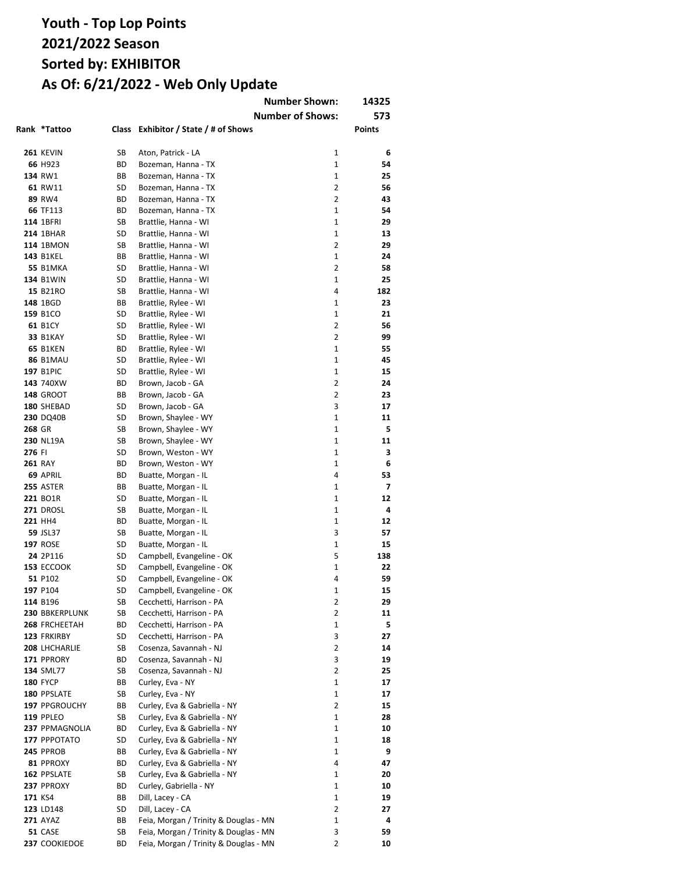|        |                  |    |                                                                                | <b>Number Shown:</b><br><b>Number of Shows:</b> | 14325<br>573 |
|--------|------------------|----|--------------------------------------------------------------------------------|-------------------------------------------------|--------------|
|        | Rank *Tattoo     |    | Class Exhibitor / State / # of Shows                                           |                                                 | Points       |
|        | <b>261 KEVIN</b> | SB | Aton, Patrick - LA                                                             | 1                                               | 6            |
|        | 66 H923          | ВD | Bozeman, Hanna - TX                                                            | $\mathbf{1}$                                    | 54           |
|        | 134 RW1          | BВ | Bozeman, Hanna - TX                                                            | $\mathbf{1}$                                    | 25           |
|        | 61 RW11          | SD | Bozeman, Hanna - TX                                                            | 2                                               | 56           |
|        | 89 RW4           | ВD | Bozeman, Hanna - TX                                                            | 2                                               | 43           |
|        | 66 TF113         | ВD | Bozeman, Hanna - TX                                                            | $\mathbf{1}$                                    | 54           |
|        | 114 1BFRI        | SB | Brattlie, Hanna - WI                                                           | 1                                               | 29           |
|        | <b>214 1BHAR</b> | SD | Brattlie, Hanna - WI                                                           | 1                                               | 13           |
|        | <b>114 1BMON</b> | SB | Brattlie, Hanna - WI                                                           | 2                                               | 29           |
|        | <b>143 B1KEL</b> | BВ | Brattlie, Hanna - WI                                                           | 1                                               | 24           |
|        | <b>55 B1MKA</b>  | SD | Brattlie, Hanna - WI                                                           | 2                                               | 58           |
|        | <b>134 B1WIN</b> | SD | Brattlie, Hanna - WI                                                           | 1                                               | 25           |
|        | 15 B21RO         | SB | Brattlie, Hanna - WI                                                           | 4                                               | 182          |
|        | 148 1BGD         | BВ | Brattlie, Rylee - WI                                                           | 1                                               | 23           |
|        | 159 B1CO         | SD | Brattlie, Rylee - WI                                                           | 1                                               | 21           |
|        | 61 B1CY          | SD | Brattlie, Rylee - WI                                                           | 2                                               | 56           |
|        | <b>33 B1KAY</b>  | SD | Brattlie, Rylee - WI                                                           | $\overline{2}$                                  | 99           |
|        | <b>65 B1KEN</b>  | ВD | Brattlie, Rylee - WI                                                           | $\mathbf{1}$                                    | 55           |
|        | <b>86 B1MAU</b>  | SD | Brattlie, Rylee - WI                                                           | $\mathbf{1}$                                    | 45           |
|        | <b>197 B1PIC</b> | SD | Brattlie, Rylee - WI                                                           | $\mathbf{1}$                                    | 15           |
|        | 143 740XW        | ВD | Brown, Jacob - GA                                                              | $\overline{2}$                                  | 24           |
|        | <b>148 GROOT</b> | BВ | Brown, Jacob - GA                                                              | $\overline{2}$                                  | 23           |
|        | 180 SHEBAD       | SD | Brown, Jacob - GA                                                              | 3                                               | 17           |
|        | 230 DQ40B        | SD | Brown, Shaylee - WY                                                            | $\mathbf{1}$                                    | 11           |
| 268 GR |                  | SB | Brown, Shaylee - WY                                                            | $\mathbf{1}$                                    | 5            |
|        | 230 NL19A        | SB | Brown, Shaylee - WY                                                            | $\mathbf{1}$                                    | 11           |
| 276 FI |                  | SD | Brown, Weston - WY                                                             | 1                                               | 3            |
|        | <b>261 RAY</b>   | ВD | Brown, Weston - WY                                                             | 1                                               | 6            |
|        | 69 APRIL         | ВD | Buatte, Morgan - IL                                                            | 4                                               | 53           |
|        | <b>255 ASTER</b> | BВ | Buatte, Morgan - IL                                                            | 1                                               | 7            |
|        | 221 BO1R         | SD | Buatte, Morgan - IL                                                            | 1                                               | 12           |
|        | <b>271 DROSL</b> | SB | Buatte, Morgan - IL                                                            | 1                                               | 4            |
|        | 221 HH4          | ВD | Buatte, Morgan - IL                                                            | 1                                               | 12           |
|        | 59 JSL37         | SB | Buatte, Morgan - IL                                                            | 3                                               | 57           |
|        | <b>197 ROSE</b>  | SD | Buatte, Morgan - IL                                                            | 1                                               | 15           |
|        | 24 2P116         | SD | Campbell, Evangeline - OK                                                      | 5                                               | 138          |
|        | 153 ECCOOK       | SD | Campbell, Evangeline - OK                                                      | 1                                               | 22           |
|        | 51 P102          | SD | Campbell, Evangeline - OK                                                      | 4                                               | 59           |
|        | 197 P104         | SD | Campbell, Evangeline - OK                                                      | 1                                               | 15           |
|        | 114 B196         | SB | Cecchetti, Harrison - PA                                                       | 2                                               | 29           |
|        | 230 BBKERPLUNK   | SB | Cecchetti, Harrison - PA                                                       | 2                                               | 11           |
|        | 268 FRCHEETAH    | ВD | Cecchetti, Harrison - PA                                                       | 1                                               | 5            |
|        | 123 FRKIRBY      | SD | Cecchetti, Harrison - PA                                                       | 3                                               | 27           |
|        | 208 LHCHARLIE    | SB | Cosenza, Savannah - NJ                                                         | $\overline{2}$                                  | 14           |
|        | 171 PPRORY       | BD | Cosenza, Savannah - NJ                                                         | 3                                               | 19           |
|        | 134 SML77        | SB | Cosenza, Savannah - NJ                                                         | $\overline{2}$                                  | 25           |
|        | <b>180 FYCP</b>  | BВ | Curley, Eva - NY                                                               | 1                                               | 17           |
|        | 180 PPSLATE      | SB |                                                                                | 1                                               | 17           |
|        | 197 PPGROUCHY    | ВB | Curley, Eva - NY<br>Curley, Eva & Gabriella - NY                               | 2                                               | 15           |
|        | <b>119 PPLEO</b> | SB | Curley, Eva & Gabriella - NY                                                   | 1                                               | 28           |
|        | 237 PPMAGNOLIA   | ВD | Curley, Eva & Gabriella - NY                                                   | $\mathbf{1}$                                    | 10           |
|        | 177 PPPOTATO     | SD | Curley, Eva & Gabriella - NY                                                   | 1                                               | 18           |
|        |                  |    |                                                                                | 1                                               | 9            |
|        | 245 PPROB        | ВB | Curley, Eva & Gabriella - NY                                                   | 4                                               | 47           |
|        | 81 PPROXY        | ВD | Curley, Eva & Gabriella - NY                                                   | 1                                               |              |
|        | 162 PPSLATE      | SB | Curley, Eva & Gabriella - NY                                                   |                                                 | 20           |
|        | 237 PPROXY       | ВD | Curley, Gabriella - NY                                                         | 1                                               | 10           |
|        | 171 KS4          | ВB | Dill, Lacey - CA                                                               | 1<br>2                                          | 19           |
|        | 123 LD148        | SD | Dill, Lacey - CA                                                               |                                                 | 27           |
|        | <b>271 AYAZ</b>  | ВB | Feia, Morgan / Trinity & Douglas - MN                                          | 1                                               | 4            |
|        | 51 CASE          | SB | Feia, Morgan / Trinity & Douglas - MN<br>Feia, Morgan / Trinity & Douglas - MN | 3<br>2                                          | 59<br>10     |
|        | 237 COOKIEDOE    | ВD |                                                                                |                                                 |              |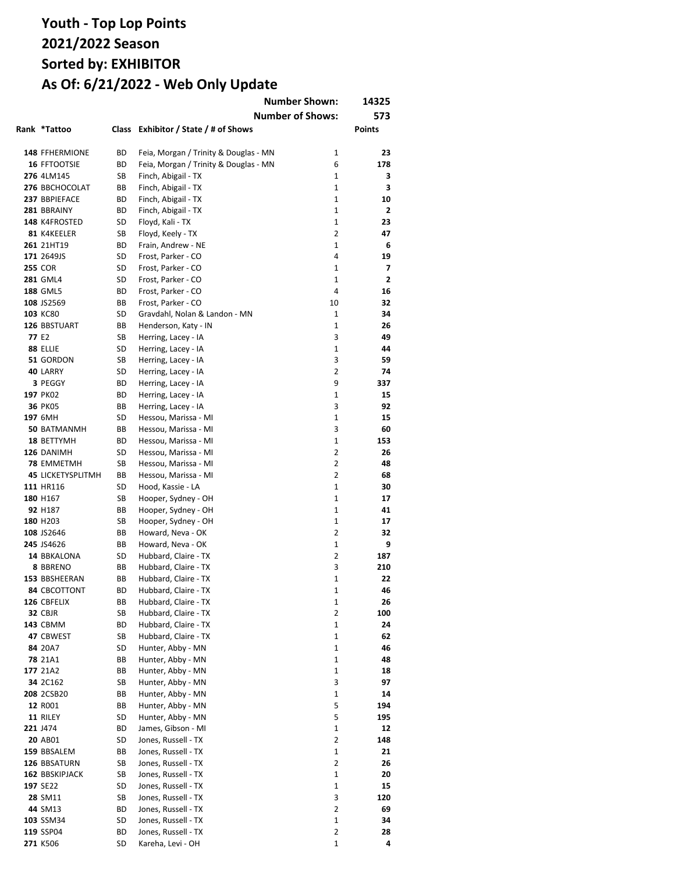|                   | Rank *Tattoo                          |          | Class Exhibitor / State / # of Shows                         | <b>Number Shown:</b><br><b>Number of Shows:</b> | 14325<br>573<br>Points |
|-------------------|---------------------------------------|----------|--------------------------------------------------------------|-------------------------------------------------|------------------------|
|                   |                                       |          |                                                              |                                                 |                        |
|                   | <b>148 FFHERMIONE</b><br>16 FFTOOTSIE | ВD       | Feia, Morgan / Trinity & Douglas - MN                        | 1<br>6                                          | 23<br>178              |
|                   | 276 4LM145                            | ВD<br>SB | Feia, Morgan / Trinity & Douglas - MN<br>Finch, Abigail - TX | 1                                               | 3                      |
|                   | 276 BBCHOCOLAT                        | BВ       | Finch, Abigail - TX                                          | 1                                               | 3                      |
|                   | 237 BBPIEFACE                         | ВD       | Finch, Abigail - TX                                          | $\mathbf{1}$                                    | 10                     |
|                   | 281 BBRAINY                           | ВD       | Finch, Abigail - TX                                          | $\mathbf{1}$                                    | 2                      |
|                   | 148 K4FROSTED                         | SD       | Floyd, Kali - TX                                             | 1                                               | 23                     |
|                   | 81 K4KEELER                           | SB       | Floyd, Keely - TX                                            | 2                                               | 47                     |
|                   | 261 21HT19                            | ВD       | Frain, Andrew - NE                                           | 1                                               | 6                      |
|                   | 171 2649JS                            | SD       | Frost, Parker - CO                                           | 4                                               | 19                     |
|                   | <b>255 COR</b>                        | SD       | Frost, Parker - CO                                           | 1                                               | $\overline{ }$         |
|                   | <b>281 GML4</b>                       | SD       | Frost, Parker - CO                                           | 1                                               | 2                      |
|                   | <b>188 GML5</b>                       | ВD       | Frost, Parker - CO                                           | 4                                               | 16                     |
|                   | 108 JS2569                            | BВ       | Frost, Parker - CO                                           | 10                                              | 32                     |
|                   | 103 KC80                              | SD       | Gravdahl, Nolan & Landon - MN                                | 1                                               | 34                     |
|                   | 126 BBSTUART                          | BВ       | Henderson, Katy - IN                                         | $\mathbf{1}$                                    | 26                     |
| 77 E <sub>2</sub> |                                       | SB       | Herring, Lacey - IA                                          | 3                                               | 49                     |
|                   | 88 ELLIE                              | SD       | Herring, Lacey - IA                                          | $\mathbf{1}$                                    | 44                     |
|                   | 51 GORDON                             | SB       | Herring, Lacey - IA                                          | 3                                               | 59                     |
|                   | 40 LARRY                              | SD       | Herring, Lacey - IA                                          | 2                                               | 74                     |
|                   | 3 PEGGY                               | ВD       | Herring, Lacey - IA                                          | 9                                               | 337                    |
|                   | 197 PK02                              | ВD       | Herring, Lacey - IA                                          | $\mathbf{1}$                                    | 15                     |
|                   | <b>36 PK05</b>                        | BВ       | Herring, Lacey - IA                                          | 3                                               | 92                     |
|                   | 197 6MH                               | SD       | Hessou, Marissa - MI                                         | $\mathbf{1}$                                    | 15                     |
|                   | <b>50 BATMANMH</b>                    | BВ       | Hessou, Marissa - MI                                         | 3                                               | 60                     |
|                   | 18 BETTYMH                            | ВD       | Hessou, Marissa - MI                                         | $\mathbf{1}$                                    | 153                    |
|                   | 126 DANIMH                            | SD       | Hessou, Marissa - MI                                         | 2                                               | 26                     |
|                   | <b>78 EMMETMH</b>                     | SB       | Hessou, Marissa - MI                                         | 2                                               | 48                     |
|                   | <b>45 LICKETYSPLITMH</b>              | BВ       | Hessou, Marissa - MI                                         | $\overline{2}$                                  | 68                     |
|                   | 111 HR116                             | SD       | Hood, Kassie - LA                                            | 1                                               | 30                     |
|                   | 180 H167                              | SB       | Hooper, Sydney - OH                                          | 1                                               | 17                     |
|                   | 92 H187                               | BВ       | Hooper, Sydney - OH                                          | 1                                               | 41                     |
|                   | 180 H <sub>203</sub>                  | SB       | Hooper, Sydney - OH                                          | 1                                               | 17                     |
|                   | 108 JS2646<br>245 JS4626              | ВB<br>BВ | Howard, Neva - OK                                            | 2<br>1                                          | 32<br>9                |
|                   | 14 BBKALONA                           | SD       | Howard, Neva - OK<br>Hubbard, Claire - TX                    | 2                                               | 187                    |
|                   | 8 BBRENO                              | ВB       | Hubbard, Claire - TX                                         | 3                                               | 210                    |
|                   | 153 BBSHEERAN                         | ВB       | Hubbard, Claire - TX                                         | 1                                               | 22                     |
|                   | <b>84 CBCOTTONT</b>                   | ВD       | Hubbard, Claire - TX                                         | 1                                               | 46                     |
|                   | 126 CBFELIX                           | ВB       | Hubbard, Claire - TX                                         | 1                                               | 26                     |
|                   | <b>32 CBJR</b>                        | SB       | Hubbard, Claire - TX                                         | 2                                               | 100                    |
|                   | <b>143 CBMM</b>                       | ВD       | Hubbard, Claire - TX                                         | 1                                               | 24                     |
|                   | 47 CBWEST                             | SB       | Hubbard, Claire - TX                                         | 1                                               | 62                     |
|                   | 84 20A7                               | SD       | Hunter, Abby - MN                                            | $\mathbf{1}$                                    | 46                     |
|                   | <b>78</b> 21A1                        | ВB       | Hunter, Abby - MN                                            | $\mathbf{1}$                                    | 48                     |
|                   | 177 21A2                              | BВ       | Hunter, Abby - MN                                            | 1                                               | 18                     |
|                   | 34 2C162                              | SB       | Hunter, Abby - MN                                            | 3                                               | 97                     |
|                   | 208 2CSB20                            | ВB       | Hunter, Abby - MN                                            | 1                                               | 14                     |
|                   | 12 R001                               | ВB       | Hunter, Abby - MN                                            | 5                                               | 194                    |
|                   | 11 RILEY                              | SD       | Hunter, Abby - MN                                            | 5                                               | 195                    |
|                   | 221 J474                              | ВD       | James, Gibson - MI                                           | 1                                               | 12                     |
|                   | 20 AB01                               | SD       | Jones, Russell - TX                                          | $\overline{2}$                                  | 148                    |
|                   | 159 BBSALEM                           | BВ       | Jones, Russell - TX                                          | 1                                               | 21                     |
|                   | 126 BBSATURN                          | SB       | Jones, Russell - TX                                          | $\overline{2}$                                  | 26                     |
|                   | 162 BBSKIPJACK                        | SB       | Jones, Russell - TX                                          | 1                                               | 20                     |
|                   | 197 SE22                              | SD       | Jones, Russell - TX                                          | 1                                               | 15                     |
|                   | 28 SM11                               | SB       | Jones, Russell - TX                                          | 3                                               | 120                    |
|                   | 44 SM13                               | ВD       | Jones, Russell - TX                                          | 2                                               | 69                     |
|                   | 103 SSM34                             | SD       | Jones, Russell - TX                                          | 1                                               | 34                     |
|                   | 119 SSP04                             | ВD       | Jones, Russell - TX                                          | $\overline{2}$                                  | 28                     |
|                   | 271 K506                              | SD       | Kareha, Levi - OH                                            | 1                                               | 4                      |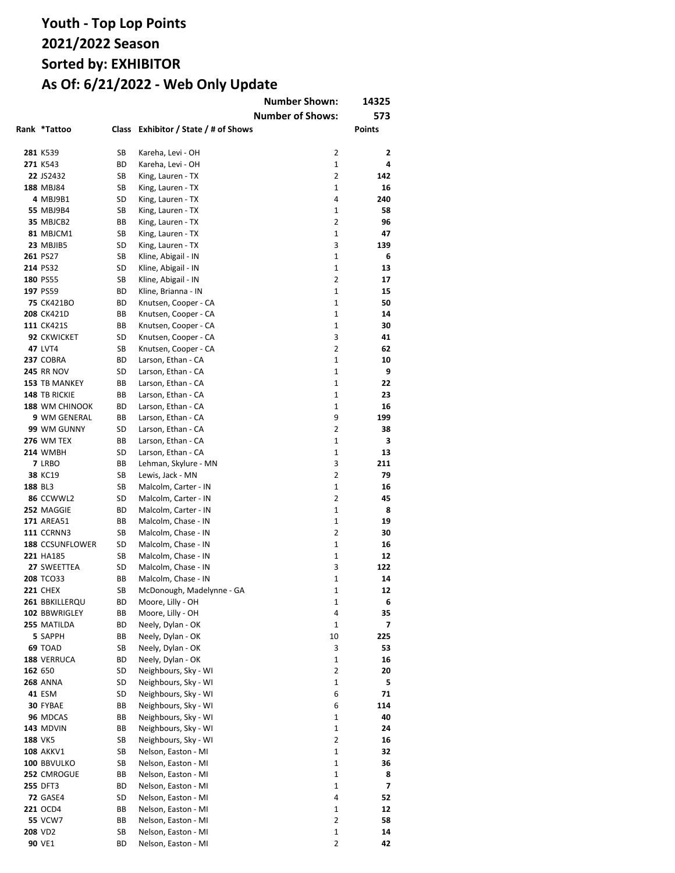|         |                                 |          |                                              | <b>Number Shown:</b>    | 14325    |
|---------|---------------------------------|----------|----------------------------------------------|-------------------------|----------|
|         |                                 |          |                                              | <b>Number of Shows:</b> | 573      |
|         | Rank *Tattoo                    | Class    | Exhibitor / State / # of Shows               |                         | Points   |
|         |                                 |          |                                              |                         |          |
|         | 281 K539                        | SB       | Kareha, Levi - OH                            | 2                       | 2        |
|         | 271 K543                        | ВD       | Kareha, Levi - OH                            | $\mathbf{1}$            | 4        |
|         | 22 JS2432                       | SB       | King, Lauren - TX                            | $\overline{2}$          | 142      |
|         | 188 MBJ84                       | SB       | King, Lauren - TX                            | $\mathbf{1}$            | 16       |
|         | 4 MBJ9B1                        | SD       | King, Lauren - TX                            | 4                       | 240      |
|         | <b>55 MBJ9B4</b>                | SB       | King, Lauren - TX                            | 1                       | 58       |
|         | 35 MBJCB2                       | ВB       | King, Lauren - TX                            | 2                       | 96       |
|         | 81 MBJCM1                       | SB       | King, Lauren - TX                            | 1                       | 47       |
|         | 23 MBJIB5                       | SD       | King, Lauren - TX                            | 3                       | 139      |
|         | 261 PS27                        | SB       | Kline, Abigail - IN                          | $\mathbf{1}$            | 6        |
|         | 214 PS32                        | SD       | Kline, Abigail - IN                          | 1                       | 13       |
|         | 180 PS55                        | SB       | Kline, Abigail - IN                          | 2<br>1                  | 17       |
|         | 197 PS59                        | ВD       | Kline, Brianna - IN                          | 1                       | 15<br>50 |
|         | <b>75 CK421BO</b>               | ВD       | Knutsen, Cooper - CA                         | 1                       | 14       |
|         | <b>208 CK421D</b><br>111 CK421S | ВB<br>ВB | Knutsen, Cooper - CA                         | 1                       | 30       |
|         | 92 CKWICKET                     | SD       | Knutsen, Cooper - CA                         | 3                       | 41       |
|         | <b>47 LVT4</b>                  | SB       | Knutsen, Cooper - CA<br>Knutsen, Cooper - CA | 2                       | 62       |
|         | 237 COBRA                       | ВD       | Larson, Ethan - CA                           | 1                       | 10       |
|         | <b>245 RR NOV</b>               | SD       | Larson, Ethan - CA                           | $\mathbf{1}$            | 9        |
|         | 153 TB MANKEY                   | ВB       | Larson, Ethan - CA                           | $\mathbf{1}$            | 22       |
|         | 148 TB RICKIE                   | BВ       | Larson, Ethan - CA                           | $\mathbf{1}$            | 23       |
|         | 188 WM CHINOOK                  | ВD       | Larson, Ethan - CA                           | 1                       | 16       |
|         | 9 WM GENERAL                    | ВB       | Larson, Ethan - CA                           | 9                       | 199      |
|         | 99 WM GUNNY                     | SD       | Larson, Ethan - CA                           | 2                       | 38       |
|         | <b>276 WM TEX</b>               | ВB       | Larson, Ethan - CA                           | $\mathbf{1}$            | з        |
|         | <b>214 WMBH</b>                 | SD       | Larson, Ethan - CA                           | 1                       | 13       |
|         | 7 LRBO                          | BВ       | Lehman, Skylure - MN                         | 3                       | 211      |
|         | 38 KC19                         | SB       | Lewis, Jack - MN                             | $\overline{2}$          | 79       |
| 188 BL3 |                                 | SB       | Malcolm, Carter - IN                         | $\mathbf{1}$            | 16       |
|         | 86 CCWWL2                       | SD       | Malcolm, Carter - IN                         | $\overline{2}$          | 45       |
|         | 252 MAGGIE                      | BD       | Malcolm, Carter - IN                         | $\mathbf{1}$            | 8        |
|         | <b>171 AREA51</b>               | ВB       | Malcolm, Chase - IN                          | $\mathbf{1}$            | 19       |
|         | <b>111 CCRNN3</b>               | SB       | Malcolm, Chase - IN                          | 2                       | 30       |
|         | 188 CCSUNFLOWER                 | SD       | Malcolm, Chase - IN                          | 1                       | 16       |
|         | 221 HA185                       | SB       | Malcolm, Chase - IN                          | 1                       | 12       |
|         | 27 SWEETTEA                     | SD       | Malcolm, Chase - IN                          | 3                       | 122      |
|         | <b>208 TCO33</b>                | BВ       | Malcolm, Chase - IN                          | 1                       | 14       |
|         | <b>221 CHEX</b>                 | SB       | McDonough, Madelynne - GA                    | 1                       | 12       |
|         | 261 BBKILLERQU                  | ВD       | Moore, Lilly - OH                            | 1                       | 6        |
|         | 102 BBWRIGLEY                   | ВB       | Moore, Lilly - OH                            | 4                       | 35       |
|         | 255 MATILDA                     | ВD       | Neely, Dylan - OK                            | 1                       | 7        |
|         | 5 SAPPH                         | BВ       | Neely, Dylan - OK                            | 10                      | 225      |
|         | 69 TOAD                         | SB       | Neely, Dylan - OK                            | 3                       | 53       |
|         | 188 VERRUCA                     | ВD       | Neely, Dylan - OK                            | 1                       | 16       |
|         | 162 650                         | SD       | Neighbours, Sky - WI                         | 2                       | 20       |
|         | <b>268 ANNA</b>                 | SD       | Neighbours, Sky - WI                         | 1                       | 5        |
|         | <b>41 ESM</b>                   | SD       | Neighbours, Sky - WI                         | 6                       | 71       |
|         | 30 FYBAE                        | BВ       | Neighbours, Sky - WI                         | 6                       | 114      |
|         | 96 MDCAS                        | BВ       | Neighbours, Sky - WI                         | 1                       | 40       |
|         | <b>143 MDVIN</b>                | BВ       | Neighbours, Sky - WI                         | 1<br>$\overline{2}$     | 24       |
|         | <b>188 VK5</b>                  | SB<br>SB | Neighbours, Sky - WI                         | 1                       | 16       |
|         | <b>108 AKKV1</b>                |          | Nelson, Easton - MI                          | 1                       | 32       |
|         | 100 BBVULKO<br>252 CMROGUE      | SB<br>BВ | Nelson, Easton - MI<br>Nelson, Easton - MI   | 1                       | 36<br>8  |
|         | 255 DFT3                        | ВD       | Nelson, Easton - MI                          | $\mathbf{1}$            | 7        |
|         | <b>72 GASE4</b>                 | SD       | Nelson, Easton - MI                          | 4                       | 52       |
|         | 221 OCD4                        | BВ       | Nelson, Easton - MI                          | 1                       | 12       |
|         | <b>55 VCW7</b>                  | BВ       | Nelson, Easton - MI                          | 2                       | 58       |
|         | 208 VD2                         | SB       | Nelson, Easton - MI                          | 1                       | 14       |
|         | 90 VE1                          | ВD       | Nelson, Easton - MI                          | $\overline{2}$          | 42       |
|         |                                 |          |                                              |                         |          |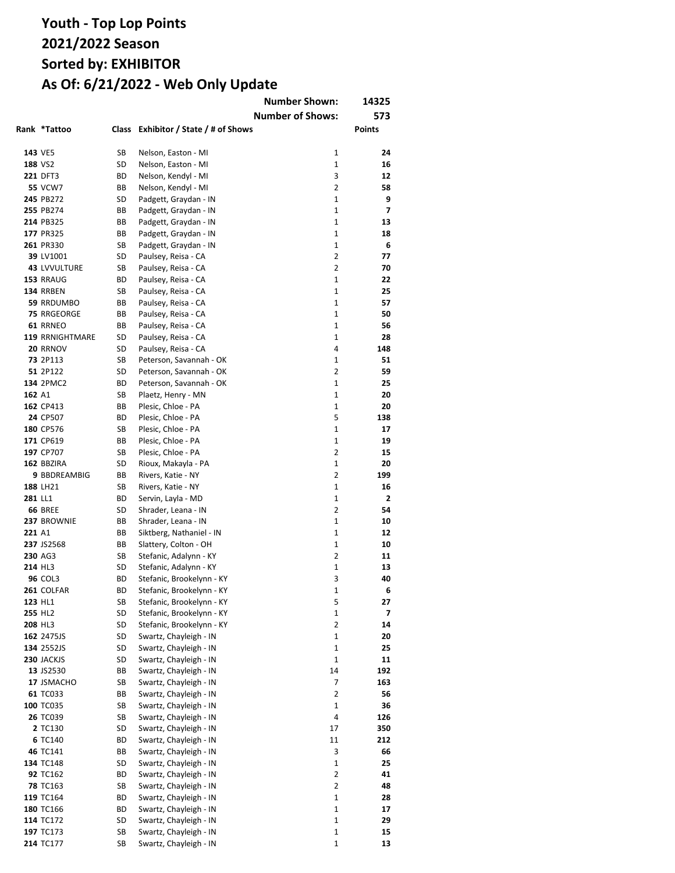|         |                              |           |                                                  | <b>Number Shown:</b><br><b>Number of Shows:</b> | 14325<br>573             |
|---------|------------------------------|-----------|--------------------------------------------------|-------------------------------------------------|--------------------------|
|         | Rank *Tattoo                 |           | Class Exhibitor / State / # of Shows             |                                                 | Points                   |
|         | 143 VE5                      | SB        | Nelson, Easton - MI                              | 1                                               | 24                       |
|         | 188 VS2                      | SD        | Nelson, Easton - MI                              | $\mathbf{1}$                                    | 16                       |
|         | 221 DFT3                     | ВD        | Nelson, Kendyl - MI                              | 3                                               | 12                       |
|         | <b>55 VCW7</b>               | ВB        | Nelson, Kendyl - MI                              | $\overline{2}$                                  | 58                       |
|         | 245 PB272                    | SD        | Padgett, Graydan - IN                            | $\mathbf{1}$                                    | 9                        |
|         | 255 PB274                    | ВB        | Padgett, Graydan - IN                            | $\mathbf{1}$                                    | $\overline{\phantom{a}}$ |
|         | 214 PB325                    | ВB        | Padgett, Graydan - IN                            | $\mathbf{1}$                                    | 13                       |
|         | 177 PR325                    | ВB        | Padgett, Graydan - IN                            | $\mathbf{1}$                                    | 18                       |
|         | 261 PR330                    | SB        | Padgett, Graydan - IN                            | $\mathbf{1}$                                    | 6                        |
|         | 39 LV1001                    | SD        | Paulsey, Reisa - CA                              | $\overline{2}$                                  | 77                       |
|         | 43 LVVULTURE                 | SB        | Paulsey, Reisa - CA                              | $\overline{2}$                                  | 70                       |
|         | 153 RRAUG                    | ВD        | Paulsey, Reisa - CA                              | $\mathbf{1}$                                    | 22                       |
|         | 134 RRBEN                    | SB        | Paulsey, Reisa - CA                              | $\mathbf{1}$                                    | 25                       |
|         | 59 RRDUMBO                   | ВB        | Paulsey, Reisa - CA                              | $\mathbf{1}$                                    | 57                       |
|         | <b>75 RRGEORGE</b>           | ВB        | Paulsey, Reisa - CA                              | $\mathbf{1}$                                    | 50                       |
|         | 61 RRNEO                     | ВB        | Paulsey, Reisa - CA                              | $\mathbf{1}$                                    | 56                       |
|         | <b>119 RRNIGHTMARE</b>       | SD        | Paulsey, Reisa - CA                              | $\mathbf{1}$                                    | 28                       |
|         | 20 RRNOV                     | SD        | Paulsey, Reisa - CA                              | 4                                               | 148                      |
|         | 73 2P113                     | SB        | Peterson, Savannah - OK                          | $\mathbf{1}$                                    | 51                       |
|         | 51 2P122                     | SD        | Peterson, Savannah - OK                          | $\overline{2}$                                  | 59                       |
|         | <b>134 2PMC2</b>             | ВD        | Peterson, Savannah - OK                          | $\mathbf{1}$                                    | 25                       |
| 162 A1  |                              | SB        | Plaetz, Henry - MN                               | 1                                               | 20                       |
|         | 162 CP413                    | ВB        | Plesic, Chloe - PA                               | 1                                               | 20                       |
|         | 24 CP507                     | ВD        | Plesic, Chloe - PA                               | 5                                               | 138                      |
|         | 180 CP576                    | SB        | Plesic, Chloe - PA                               | $\mathbf{1}$                                    | 17                       |
|         | 171 CP619                    | ВB        | Plesic, Chloe - PA                               | $\mathbf{1}$                                    | 19                       |
|         | 197 CP707                    | SB        | Plesic, Chloe - PA                               | $\overline{2}$                                  | 15                       |
|         | 162 BBZIRA                   | SD        | Rioux, Makayla - PA                              | $\mathbf{1}$                                    | 20                       |
|         | 9 BBDREAMBIG                 | ВB        | Rivers, Katie - NY                               | $\overline{2}$                                  | 199                      |
|         | 188 LH21                     | SB        | Rivers, Katie - NY                               | 1                                               | 16                       |
| 281 LL1 |                              | <b>BD</b> | Servin, Layla - MD                               | $\mathbf{1}$                                    | $\overline{2}$           |
|         | <b>66 BREE</b>               | SD        | Shrader, Leana - IN                              | $\overline{2}$                                  | 54                       |
|         | 237 BROWNIE                  | ВB        | Shrader, Leana - IN                              | $\mathbf{1}$                                    | 10                       |
| 221 A1  |                              | ВB        | Siktberg, Nathaniel - IN                         | $\mathbf{1}$                                    | 12                       |
|         | 237 JS2568                   | ВB        | Slattery, Colton - OH                            | $\mathbf{1}$                                    | 10                       |
|         | 230 AG3                      | SB        | Stefanic, Adalynn - KY                           | $\overline{2}$                                  | 11                       |
|         | 214 HL3                      | SD        | Stefanic, Adalynn - KY                           | $\mathbf{1}$                                    | 13                       |
|         | <b>96 COL3</b>               | ВD        | Stefanic, Brookelynn - KY                        | 3                                               | 40                       |
|         | 261 COLFAR                   | ВD        | Stefanic, Brookelynn - KY                        | 1                                               | 6                        |
|         | 123 HL1                      | SB        | Stefanic, Brookelynn - KY                        | 5                                               | 27                       |
|         | 255 HL2                      | SD        | Stefanic, Brookelynn - KY                        | 1                                               | 7                        |
|         | 208 HL3                      | SD        | Stefanic, Brookelynn - KY                        | 2                                               | 14                       |
|         | 162 2475JS                   | SD        | Swartz, Chayleigh - IN                           | 1                                               | 20                       |
|         | 134 2552JS                   | SD        | Swartz, Chayleigh - IN                           | $\mathbf{1}$                                    | 25                       |
|         | 230 JACKJS                   | SD        | Swartz, Chayleigh - IN                           | $\mathbf 1$                                     | 11                       |
|         | 13 JS2530                    | ВB        | Swartz, Chayleigh - IN                           | 14                                              | 192                      |
|         | 17 JSMACHO                   | SB        | Swartz, Chayleigh - IN                           | 7                                               | 163                      |
|         | 61 TC033                     | ВB        | Swartz, Chayleigh - IN                           | $\overline{2}$                                  | 56                       |
|         | 100 TC035                    | SB        | Swartz, Chayleigh - IN                           | 1                                               | 36                       |
|         | 26 TC039                     | SB        | Swartz, Chayleigh - IN                           | 4                                               | 126                      |
|         | 2 TC130                      | SD        | Swartz, Chayleigh - IN                           | 17                                              | 350                      |
|         | 6 TC140                      | BD        | Swartz, Chayleigh - IN                           | 11<br>3                                         | 212                      |
|         | 46 TC141                     | ВB        | Swartz, Chayleigh - IN                           |                                                 | 66                       |
|         | 134 TC148                    | SD        | Swartz, Chayleigh - IN                           | 1<br>2                                          | 25                       |
|         | 92 TC162                     | ВD        | Swartz, Chayleigh - IN                           | 2                                               | 41                       |
|         | <b>78 TC163</b><br>119 TC164 | SB        | Swartz, Chayleigh - IN<br>Swartz, Chayleigh - IN | 1                                               | 48                       |
|         | 180 TC166                    | ВD<br>ВD  |                                                  | 1                                               | 28<br>17                 |
|         | 114 TC172                    | SD        | Swartz, Chayleigh - IN<br>Swartz, Chayleigh - IN | $\mathbf 1$                                     | 29                       |
|         | 197 TC173                    | SB        | Swartz, Chayleigh - IN                           | $\mathbf 1$                                     | 15                       |
|         | 214 TC177                    | SB        | Swartz, Chayleigh - IN                           | $\mathbf 1$                                     | 13                       |
|         |                              |           |                                                  |                                                 |                          |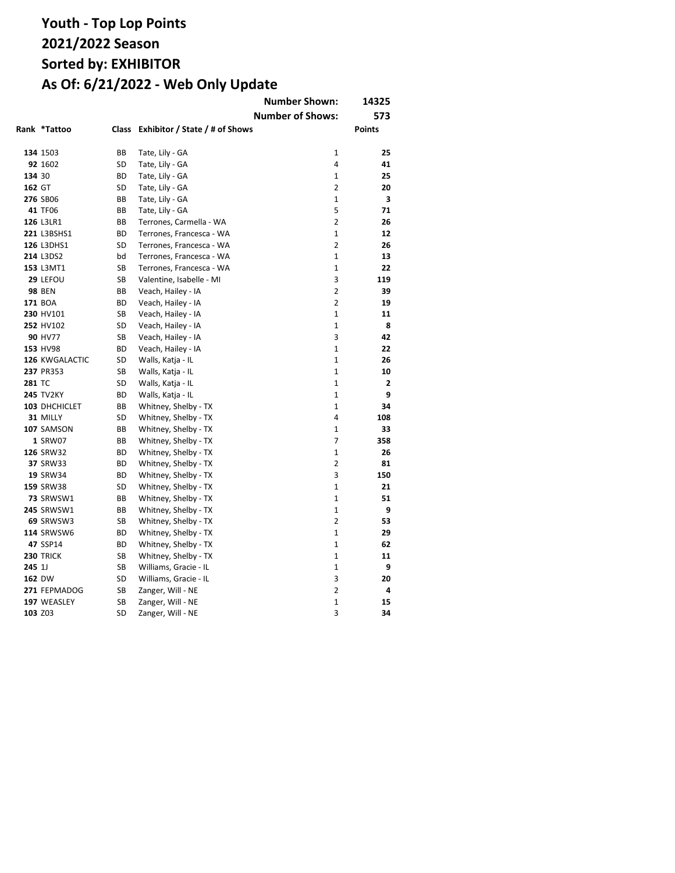|               |                   |              |                                | <b>Number Shown:</b>    | 14325         |
|---------------|-------------------|--------------|--------------------------------|-------------------------|---------------|
|               |                   |              |                                | <b>Number of Shows:</b> | 573           |
|               | Rank *Tattoo      | <b>Class</b> | Exhibitor / State / # of Shows |                         | <b>Points</b> |
|               |                   |              |                                |                         |               |
|               | 134 1503          | BB           | Tate, Lily - GA                | $\mathbf{1}$            | 25            |
|               | 92 1602           | SD           | Tate, Lily - GA                | 4                       | 41            |
| 134 30        |                   | ВD           | Tate, Lily - GA                | $\mathbf{1}$            | 25            |
| 162 GT        |                   | SD           | Tate, Lily - GA                | $\overline{2}$          | 20            |
|               | 276 SB06          | ВB           | Tate, Lily - GA                | $\mathbf{1}$            | 3             |
|               | 41 TF06           | ВB           | Tate, Lily - GA                | 5                       | 71            |
|               | 126 L3LR1         | ВB           | Terrones, Carmella - WA        | $\overline{2}$          | 26            |
|               | 221 L3BSHS1       | ВD           | Terrones, Francesca - WA       | $\mathbf{1}$            | 12            |
|               | <b>126 L3DHS1</b> | SD           | Terrones, Francesca - WA       | $\overline{2}$          | 26            |
|               | 214 L3DS2         | bd           | Terrones, Francesca - WA       | $\mathbf{1}$            | 13            |
|               | 153 L3MT1         | <b>SB</b>    | Terrones, Francesca - WA       | $\mathbf{1}$            | 22            |
|               | 29 LEFOU          | SB           | Valentine, Isabelle - MI       | 3                       | 119           |
|               | <b>98 BEN</b>     | BB           | Veach, Hailey - IA             | $\overline{2}$          | 39            |
|               | 171 BOA           | ВD           | Veach, Hailey - IA             | $\overline{2}$          | 19            |
|               | 230 HV101         | SB           | Veach, Hailey - IA             | $\mathbf{1}$            | 11            |
|               | 252 HV102         | SD           | Veach, Hailey - IA             | $\mathbf{1}$            | 8             |
|               | 90 HV77           | SB           | Veach, Hailey - IA             | 3                       | 42            |
|               | 153 HV98          | BD           | Veach, Hailey - IA             | $\mathbf{1}$            | 22            |
|               | 126 KWGALACTIC    | SD           | Walls, Katja - IL              | $\mathbf{1}$            | 26            |
|               | 237 PR353         | SB           | Walls, Katja - IL              | $\mathbf{1}$            | 10            |
| <b>281 TC</b> |                   | SD           | Walls, Katja - IL              | $\mathbf{1}$            | 2             |
|               | <b>245 TV2KY</b>  | BD           | Walls, Katja - IL              | $\mathbf{1}$            | 9             |
|               | 103 DHCHICLET     | BВ           | Whitney, Shelby - TX           | $\mathbf{1}$            | 34            |
|               | 31 MILLY          | SD           | Whitney, Shelby - TX           | 4                       | 108           |
|               | 107 SAMSON        | BВ           | Whitney, Shelby - TX           | $\mathbf{1}$            | 33            |
|               | 1 SRW07           | BB           | Whitney, Shelby - TX           | $\overline{7}$          | 358           |
|               | 126 SRW32         | ВD           | Whitney, Shelby - TX           | $\mathbf{1}$            | 26            |
|               | <b>37 SRW33</b>   | BD           | Whitney, Shelby - TX           | $\overline{2}$          | 81            |
|               | 19 SRW34          | ВD           | Whitney, Shelby - TX           | 3                       | 150           |
|               | 159 SRW38         | SD           | Whitney, Shelby - TX           | $\mathbf{1}$            | 21            |
|               | 73 SRWSW1         | BВ           | Whitney, Shelby - TX           | $\mathbf{1}$            | 51            |
|               | <b>245 SRWSW1</b> | BB           | Whitney, Shelby - TX           | $\mathbf{1}$            | 9             |
|               | 69 SRWSW3         | SB           | Whitney, Shelby - TX           | 2                       | 53            |
|               | <b>114 SRWSW6</b> | BD           | Whitney, Shelby - TX           | $\mathbf{1}$            | 29            |
|               | 47 SSP14          | ВD           | Whitney, Shelby - TX           | $\mathbf{1}$            | 62            |
|               | <b>230 TRICK</b>  | SB           | Whitney, Shelby - TX           | $\mathbf{1}$            | 11            |
| 245 1J        |                   | SB           | Williams, Gracie - IL          | $\mathbf{1}$            | 9             |
|               | 162 DW            | SD           | Williams, Gracie - IL          | 3                       | 20            |
|               | 271 FEPMADOG      | SB           | Zanger, Will - NE              | $\overline{2}$          | 4             |
|               | 197 WEASLEY       | SB           | Zanger, Will - NE              | $\mathbf{1}$            | 15            |
|               | 103 Z03           | SD           | Zanger, Will - NE              | 3                       | 34            |
|               |                   |              |                                |                         |               |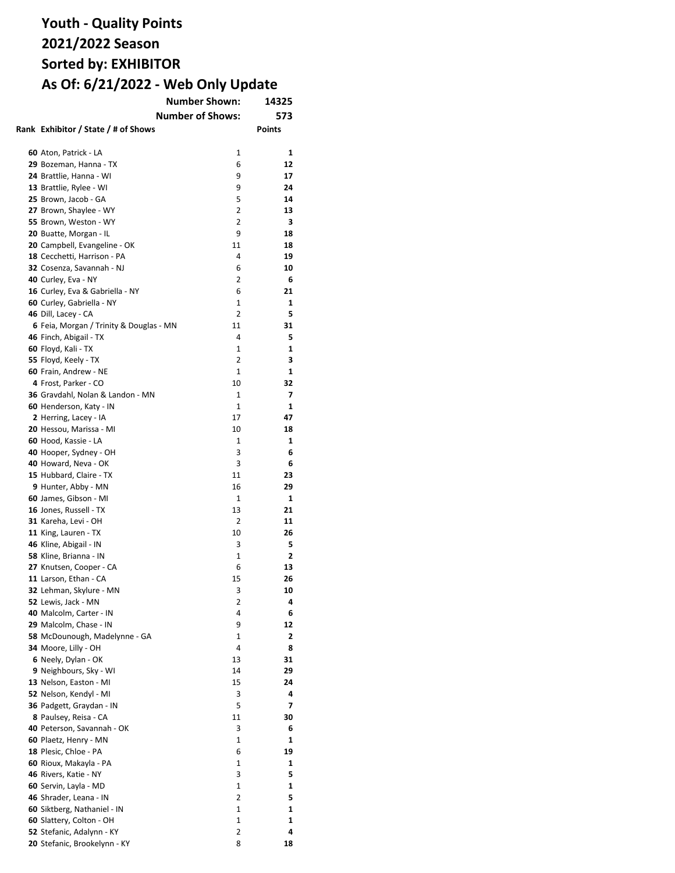| <b>Number Shown:</b><br>14325           |                         |        |  |
|-----------------------------------------|-------------------------|--------|--|
|                                         | <b>Number of Shows:</b> | 573    |  |
| Rank Exhibitor / State / # of Shows     |                         | Points |  |
|                                         |                         |        |  |
| 60 Aton, Patrick - LA                   | 1                       | 1      |  |
| 29 Bozeman, Hanna - TX                  | 6                       | 12     |  |
| 24 Brattlie, Hanna - WI                 | 9                       | 17     |  |
| 13 Brattlie, Rylee - WI                 | 9                       | 24     |  |
| 25 Brown, Jacob - GA                    | 5                       | 14     |  |
| 27 Brown, Shaylee - WY                  | 2                       | 13     |  |
| 55 Brown, Weston - WY                   | 2                       | з      |  |
| 20 Buatte, Morgan - IL                  | 9                       | 18     |  |
| 20 Campbell, Evangeline - OK            | 11                      | 18     |  |
|                                         | 4                       |        |  |
| 18 Cecchetti, Harrison - PA             |                         | 19     |  |
| 32 Cosenza, Savannah - NJ               | 6                       | 10     |  |
| 40 Curley, Eva - NY                     | 2                       | 6      |  |
| 16 Curley, Eva & Gabriella - NY         | 6                       | 21     |  |
| 60 Curley, Gabriella - NY               | 1                       | 1      |  |
| 46 Dill, Lacey - CA                     | 2                       | 5      |  |
| 6 Feia, Morgan / Trinity & Douglas - MN | 11                      | 31     |  |
| 46 Finch, Abigail - TX                  | 4                       | 5      |  |
| 60 Floyd, Kali - TX                     | 1                       | 1      |  |
| 55 Floyd, Keely - TX                    | 2                       | 3      |  |
| 60 Frain, Andrew - NE                   | 1                       | 1      |  |
| 4 Frost, Parker - CO                    | 10                      | 32     |  |
| 36 Gravdahl, Nolan & Landon - MN        | 1                       | 7      |  |
| 60 Henderson, Katy - IN                 | 1                       | 1      |  |
| 2 Herring, Lacey - IA                   | 17                      | 47     |  |
| 20 Hessou, Marissa - MI                 | 10                      | 18     |  |
| 60 Hood, Kassie - LA                    | 1                       | 1      |  |
| 40 Hooper, Sydney - OH                  | 3                       | 6      |  |
| 40 Howard, Neva - OK                    | 3                       | 6      |  |
| 15 Hubbard, Claire - TX                 | 11                      | 23     |  |
| 9 Hunter, Abby - MN                     | 16                      | 29     |  |
| 60 James, Gibson - MI                   | 1                       | 1      |  |
| 16 Jones, Russell - TX                  | 13                      | 21     |  |
| 31 Kareha, Levi - OH                    | 2                       | 11     |  |
| 11 King, Lauren - TX                    | 10                      | 26     |  |
| 46 Kline, Abigail - IN                  | 3                       | 5      |  |
| 58 Kline, Brianna - IN                  | 1                       | 2      |  |
| 27 Knutsen, Cooper - CA                 | 6                       | 13     |  |
| 11 Larson, Ethan - CA                   | 15                      | 26     |  |
| 32 Lehman, Skylure - MN                 | 3                       | 10     |  |
| 52 Lewis, Jack - MN                     | 2                       | 4      |  |
| 40 Malcolm, Carter - IN                 | 4                       | 6      |  |
| 29 Malcolm, Chase - IN                  | 9                       | 12     |  |
| 58 McDounough, Madelynne - GA           | 1                       | 2      |  |
| 34 Moore, Lilly - OH                    | 4                       | 8      |  |
| 6 Neely, Dylan - OK                     | 13                      | 31     |  |
| 9 Neighbours, Sky - WI                  | 14                      | 29     |  |
| 13 Nelson, Easton - MI                  | 15                      | 24     |  |
| 52 Nelson, Kendyl - MI                  | 3                       | 4      |  |
| 36 Padgett, Graydan - IN                | 5                       | 7      |  |
| 8 Paulsey, Reisa - CA                   | 11                      | 30     |  |
| 40 Peterson, Savannah - OK              | 3                       | 6      |  |
| 60 Plaetz, Henry - MN                   | 1                       | 1      |  |
| 18 Plesic, Chloe - PA                   | 6                       | 19     |  |
| 60 Rioux, Makayla - PA                  | 1                       | 1      |  |
| 46 Rivers, Katie - NY                   | 3                       | 5      |  |
| 60 Servin, Layla - MD                   | 1                       | 1      |  |
| 46 Shrader, Leana - IN                  | 2                       | 5      |  |
| 60 Siktberg, Nathaniel - IN             | 1                       | 1      |  |
| 60 Slattery, Colton - OH                | 1                       | 1      |  |
| 52 Stefanic, Adalynn - KY               | 2                       | 4      |  |
| 20 Stefanic, Brookelynn - KY            | 8                       | 18     |  |
|                                         |                         |        |  |